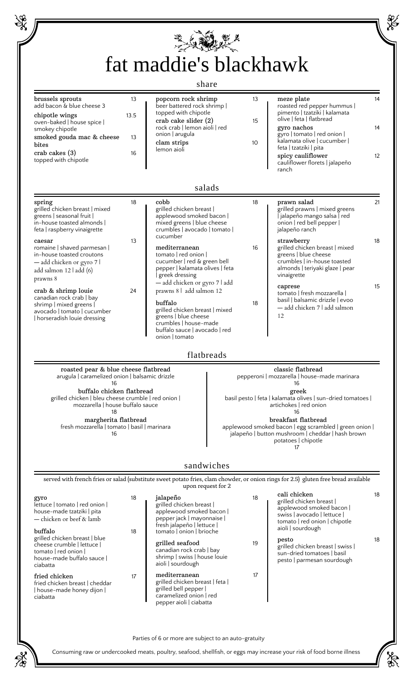| fat maddie's blackhawk<br>share                                                                                                                                                                                                                    |          |                                                                                                                                                                                |                                                                                                                                                                                                        |                     |                                                                                                                                                           |    |  |
|----------------------------------------------------------------------------------------------------------------------------------------------------------------------------------------------------------------------------------------------------|----------|--------------------------------------------------------------------------------------------------------------------------------------------------------------------------------|--------------------------------------------------------------------------------------------------------------------------------------------------------------------------------------------------------|---------------------|-----------------------------------------------------------------------------------------------------------------------------------------------------------|----|--|
|                                                                                                                                                                                                                                                    |          |                                                                                                                                                                                |                                                                                                                                                                                                        |                     |                                                                                                                                                           |    |  |
|                                                                                                                                                                                                                                                    |          | salads                                                                                                                                                                         |                                                                                                                                                                                                        |                     |                                                                                                                                                           |    |  |
| spring<br>grilled chicken breast   mixed<br>greens   seasonal fruit  <br>in-house toasted almonds<br>feta   raspberry vinaigrette                                                                                                                  | 18       | cobb<br>grilled chicken breast  <br>applewood smoked bacon  <br>mixed greens   blue cheese<br>crumbles   avocado   tomato                                                      |                                                                                                                                                                                                        | 18                  | prawn salad<br>grilled prawns   mixed greens<br>  jalapeño mango salsa   red<br>onion   red bell pepper  <br>jalapeño ranch                               | 21 |  |
| caesar<br>romaine   shaved parmesan  <br>in-house toasted croutons<br>- add chicken or gyro 7  <br>add salmon 12   add (6)<br>prawns 8                                                                                                             | 13       | cucumber<br>mediterranean<br>tomato   red onion  <br>cucumber   red & green bell<br>pepper   kalamata olives   feta<br>greek dressing<br>- add chicken or gyro 7   add         |                                                                                                                                                                                                        | 16                  | strawberry<br>grilled chicken breast   mixed<br>greens   blue cheese<br>crumbles   in-house toasted<br>almonds   teriyaki glaze   pear<br>vinaigrette     | 18 |  |
| crab & shrimp louie<br>canadian rock crab   bay<br>shrimp   mixed greens  <br>avocado   tomato   cucumber<br>  horseradish louie dressing                                                                                                          | 24       | prawns 8   add salmon 12<br>buffalo<br>grilled chicken breast   mixed<br>greens   blue cheese<br>crumbles   house-made<br>buffalo sauce   avocado   red<br>onion   tomato      |                                                                                                                                                                                                        | caprese<br>18<br>12 | tomato   fresh mozzarella  <br>basil   balsamic drizzle   evoo<br>- add chicken 7   add salmon                                                            | 15 |  |
|                                                                                                                                                                                                                                                    |          | flatbreads                                                                                                                                                                     |                                                                                                                                                                                                        |                     |                                                                                                                                                           |    |  |
| roasted pear & blue cheese flatbread<br>arugula   caramelized onion   balsamic drizzle<br>16<br>buffalo chicken flatbread<br>grilled chicken   bleu cheese crumble   red onion  <br>mozzarella   house buffalo sauce<br>18<br>margherita flatbread |          |                                                                                                                                                                                | classic flatbread<br>pepperoni   mozzarella   house-made marinara<br>16<br>greek<br>basil pesto   feta   kalamata olives   sun-dried tomatoes  <br>artichokes   red onion<br>16<br>breakfast flatbread |                     |                                                                                                                                                           |    |  |
| fresh mozzarella   tomato   basil   marinara<br>16                                                                                                                                                                                                 |          |                                                                                                                                                                                |                                                                                                                                                                                                        |                     | applewood smoked bacon   egg scrambled   green onion  <br>jalapeño   button mushroom   cheddar   hash brown<br>potatoes   chipotle                        |    |  |
|                                                                                                                                                                                                                                                    |          | sandwiches                                                                                                                                                                     |                                                                                                                                                                                                        |                     | served with french fries or salad (substitute sweet potato fries, clam chowder, or onion rings for 2.5) gluten free bread available                       |    |  |
| gyro<br>lettuce   tomato   red onion  <br>house-made tzatziki   pita<br>- chicken or beef & lamb<br>buffalo                                                                                                                                        | 18<br>18 | upon request for 2<br>jalapeño<br>grilled chicken breast  <br>applewood smoked bacon  <br>pepper jack   mayonnaise  <br>fresh jalapeño   lettuce  <br>tomato   onion   brioche |                                                                                                                                                                                                        | 18                  | cali chicken<br>grilled chicken breast  <br>applewood smoked bacon  <br>swiss   avocado   lettuce  <br>tomato   red onion   chipotle<br>aioli   sourdough | 18 |  |
| grilled chicken breast   blue<br>cheese crumble   lettuce  <br>tomato I red onion I<br>house-made buffalo sauce  <br>ciabatta                                                                                                                      |          | grilled seafood<br>canadian rock crab   bay<br>shrimp   swiss   house louie<br>aioli sourdough                                                                                 |                                                                                                                                                                                                        | 19                  | pesto<br>grilled chicken breast   swiss  <br>sun-dried tomatoes   basil<br>pesto   parmesan sourdough                                                     | 18 |  |
| fried chicken<br>fried chicken breast   cheddar<br>  house-made honey dijon  <br>ciabatta                                                                                                                                                          | 17       | mediterranean<br>grilled chicken breast   feta  <br>grilled bell pepper  <br>caramelized onion   red<br>pepper aioli   ciabatta                                                |                                                                                                                                                                                                        | 17                  |                                                                                                                                                           |    |  |

Consuming raw or undercooked meats, poultry, seafood, shellfish, or eggs may increase your risk of food borne illness

繁

## **CONTROLLER**